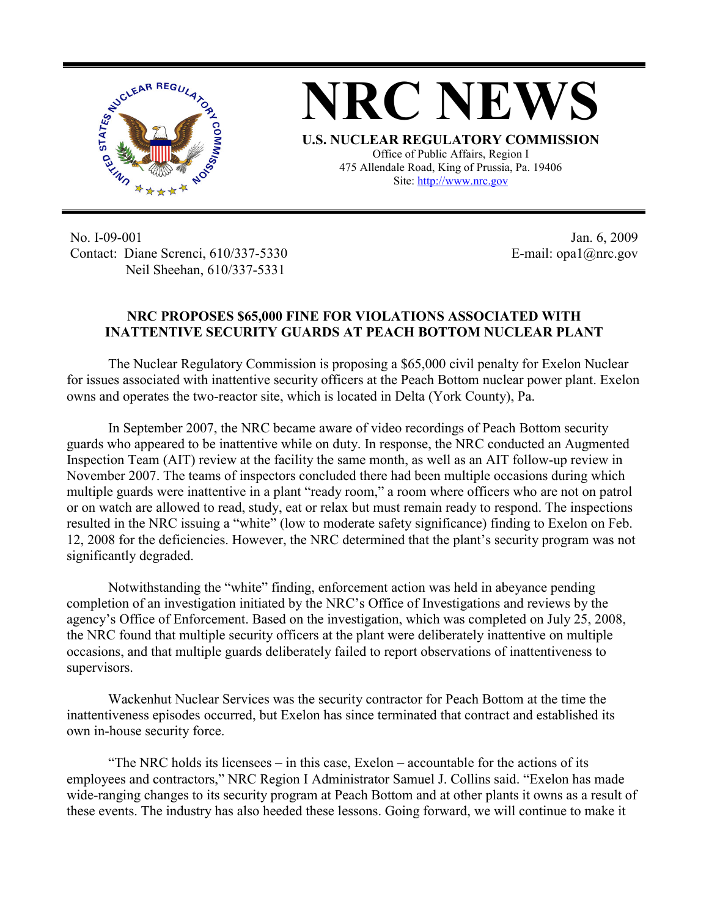



**U.S. NUCLEAR REGULATORY COMMISSION** Office of Public Affairs, Region I 475 Allendale Road, King of Prussia, Pa. 19406 Site: http://www.nrc.gov

No. I-09-001 Contact: Diane Screnci, 610/337-5330 Neil Sheehan, 610/337-5331

Jan. 6, 2009 E-mail: opa1@nrc.gov

## **NRC PROPOSES \$65,000 FINE FOR VIOLATIONS ASSOCIATED WITH INATTENTIVE SECURITY GUARDS AT PEACH BOTTOM NUCLEAR PLANT**

The Nuclear Regulatory Commission is proposing a \$65,000 civil penalty for Exelon Nuclear for issues associated with inattentive security officers at the Peach Bottom nuclear power plant. Exelon owns and operates the two-reactor site, which is located in Delta (York County), Pa.

In September 2007, the NRC became aware of video recordings of Peach Bottom security guards who appeared to be inattentive while on duty. In response, the NRC conducted an Augmented Inspection Team (AIT) review at the facility the same month, as well as an AIT follow-up review in November 2007. The teams of inspectors concluded there had been multiple occasions during which multiple guards were inattentive in a plant "ready room," a room where officers who are not on patrol or on watch are allowed to read, study, eat or relax but must remain ready to respond. The inspections resulted in the NRC issuing a "white" (low to moderate safety significance) finding to Exelon on Feb. 12, 2008 for the deficiencies. However, the NRC determined that the plant's security program was not significantly degraded.

Notwithstanding the "white" finding, enforcement action was held in abeyance pending completion of an investigation initiated by the NRC's Office of Investigations and reviews by the agency's Office of Enforcement. Based on the investigation, which was completed on July 25, 2008, the NRC found that multiple security officers at the plant were deliberately inattentive on multiple occasions, and that multiple guards deliberately failed to report observations of inattentiveness to supervisors.

Wackenhut Nuclear Services was the security contractor for Peach Bottom at the time the inattentiveness episodes occurred, but Exelon has since terminated that contract and established its own in-house security force.

"The NRC holds its licensees – in this case, Exelon – accountable for the actions of its employees and contractors," NRC Region I Administrator Samuel J. Collins said. "Exelon has made wide-ranging changes to its security program at Peach Bottom and at other plants it owns as a result of these events. The industry has also heeded these lessons. Going forward, we will continue to make it